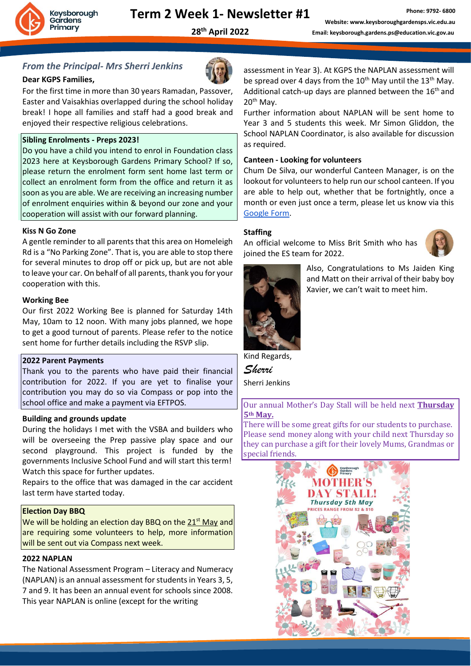

# **Term 2 Week 1- Newsletter #1**

**28th April 2022**

### *From the Principal- Mrs Sherri Jenkins*

#### **Dear KGPS Families,**

For the first time in more than 30 years Ramadan, Passover, Easter and Vaisakhias overlapped during the school holiday break! I hope all families and staff had a good break and enjoyed their respective religious celebrations.

#### **Sibling Enrolments - Preps 2023!**

Do you have a child you intend to enrol in Foundation class 2023 here at Keysborough Gardens Primary School? If so, please return the enrolment form sent home last term or collect an enrolment form from the office and return it as soon as you are able. We are receiving an increasing number of enrolment enquiries within & beyond our zone and your cooperation will assist with our forward planning.

#### **Kiss N Go Zone**

A gentle reminder to all parents that this area on Homeleigh Rd is a "No Parking Zone". That is, you are able to stop there for several minutes to drop off or pick up, but are not able to leave your car. On behalf of all parents, thank you for your cooperation with this.

#### **Working Bee**

Our first 2022 Working Bee is planned for Saturday 14th May, 10am to 12 noon. With many jobs planned, we hope to get a good turnout of parents. Please refer to the notice sent home for further details including the RSVP slip.

#### **2022 Parent Payments**

Thank you to the parents who have paid their financial contribution for 2022. If you are yet to finalise your contribution you may do so via Compass or pop into the school office and make a payment via EFTPOS.

#### **Building and grounds update**

During the holidays I met with the VSBA and builders who will be overseeing the Prep passive play space and our second playground. This project is funded by the governments Inclusive School Fund and will start this term! Watch this space for further updates.

Repairs to the office that was damaged in the car accident last term have started today.

#### **Election Day BBQ**

We will be holding an election day BBQ on the  $21<sup>st</sup>$  May and are requiring some volunteers to help, more information will be sent out via Compass next week.

#### **2022 NAPLAN**

The National Assessment Program – Literacy and Numeracy (NAPLAN) is an annual assessment for students in Years 3, 5, 7 and 9. It has been an annual event for schools since 2008. This year NAPLAN is online (except for the writing

assessment in Year 3). At KGPS the NAPLAN assessment will be spread over 4 days from the  $10^{th}$  May until the  $13^{th}$  May. Additional catch-up days are planned between the  $16<sup>th</sup>$  and 20th May.

Further information about NAPLAN will be sent home to Year 3 and 5 students this week. Mr Simon Gliddon, the School NAPLAN Coordinator, is also available for discussion as required.

#### **Canteen - Looking for volunteers**

Chum De Silva, our wonderful Canteen Manager, is on the lookout for volunteers to help run our school canteen. If you are able to help out, whether that be fortnightly, once a month or even just once a term, please let us know via this [Google Form.](https://forms.gle/f2uKxSzbiTyw9Zyy7)

#### **Staffing**

An official welcome to Miss Brit Smith who has joined the ES team for 2022.





Also, Congratulations to Ms Jaiden King and Matt on their arrival of their baby boy Xavier, we can't wait to meet him.

Kind Regards,

*Sherri* Sherri Jenkins

Our annual Mother's Day Stall will be held next **Thursday 5th May.**

There will be some great gifts for our students to purchase. Please send money along with your child next Thursday so they can purchase a gift for their lovely Mums, Grandmas or special friends.